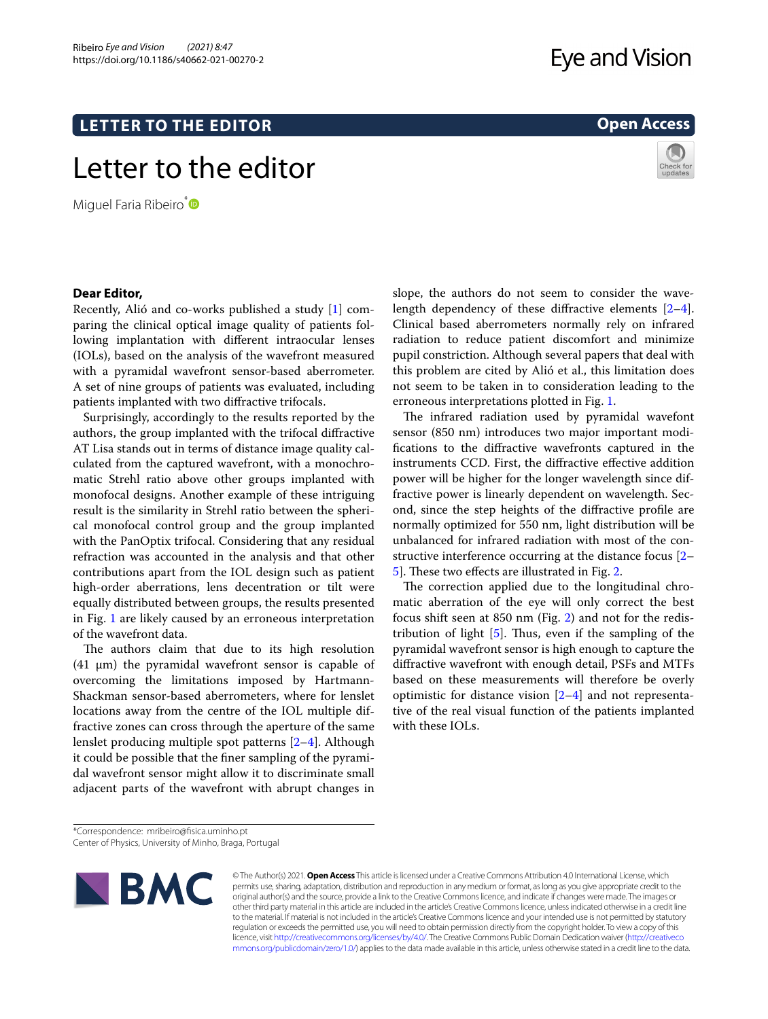## **LETTER TO THE EDITOR**

## Letter to the editor

Miguel Faria Ribeiro<sup>[\\*](http://orcid.org/0000-0002-4880-9680)</sup>

# **Eye and Vision**

## **Open Access**



## **Dear Editor,**

Recently, Alió and co-works published a study [[1\]](#page-2-0) comparing the clinical optical image quality of patients following implantation with diferent intraocular lenses (IOLs), based on the analysis of the wavefront measured with a pyramidal wavefront sensor-based aberrometer. A set of nine groups of patients was evaluated, including patients implanted with two difractive trifocals.

Surprisingly, accordingly to the results reported by the authors, the group implanted with the trifocal difractive AT Lisa stands out in terms of distance image quality calculated from the captured wavefront, with a monochromatic Strehl ratio above other groups implanted with monofocal designs. Another example of these intriguing result is the similarity in Strehl ratio between the spherical monofocal control group and the group implanted with the PanOptix trifocal. Considering that any residual refraction was accounted in the analysis and that other contributions apart from the IOL design such as patient high-order aberrations, lens decentration or tilt were equally distributed between groups, the results presented in Fig. [1](#page-1-0) are likely caused by an erroneous interpretation of the wavefront data.

The authors claim that due to its high resolution (41  $\mu$ m) the pyramidal wavefront sensor is capable of overcoming the limitations imposed by Hartmann-Shackman sensor-based aberrometers, where for lenslet locations away from the centre of the IOL multiple diffractive zones can cross through the aperture of the same lenslet producing multiple spot patterns [[2–](#page-2-1)[4\]](#page-2-2). Although it could be possible that the fner sampling of the pyramidal wavefront sensor might allow it to discriminate small adjacent parts of the wavefront with abrupt changes in

slope, the authors do not seem to consider the wavelength dependency of these difractive elements [\[2](#page-2-1)[–4](#page-2-2)]. Clinical based aberrometers normally rely on infrared radiation to reduce patient discomfort and minimize pupil constriction. Although several papers that deal with this problem are cited by Alió et al., this limitation does not seem to be taken in to consideration leading to the erroneous interpretations plotted in Fig. [1.](#page-1-0)

The infrared radiation used by pyramidal wavefont sensor (850 nm) introduces two major important modifcations to the difractive wavefronts captured in the instruments CCD. First, the difractive efective addition power will be higher for the longer wavelength since diffractive power is linearly dependent on wavelength. Second, since the step heights of the difractive profle are normally optimized for 550 nm, light distribution will be unbalanced for infrared radiation with most of the constructive interference occurring at the distance focus [[2–](#page-2-1) [5\]](#page-2-3). These two effects are illustrated in Fig. [2.](#page-1-1)

The correction applied due to the longitudinal chromatic aberration of the eye will only correct the best focus shift seen at 850 nm (Fig. [2\)](#page-1-1) and not for the redistribution of light  $[5]$  $[5]$ . Thus, even if the sampling of the pyramidal wavefront sensor is high enough to capture the difractive wavefront with enough detail, PSFs and MTFs based on these measurements will therefore be overly optimistic for distance vision [\[2](#page-2-1)[–4](#page-2-2)] and not representative of the real visual function of the patients implanted with these IOLs.

Center of Physics, University of Minho, Braga, Portugal



© The Author(s) 2021. **Open Access** This article is licensed under a Creative Commons Attribution 4.0 International License, which permits use, sharing, adaptation, distribution and reproduction in any medium or format, as long as you give appropriate credit to the original author(s) and the source, provide a link to the Creative Commons licence, and indicate if changes were made. The images or other third party material in this article are included in the article's Creative Commons licence, unless indicated otherwise in a credit line to the material. If material is not included in the article's Creative Commons licence and your intended use is not permitted by statutory regulation or exceeds the permitted use, you will need to obtain permission directly from the copyright holder. To view a copy of this licence, visit [http://creativecommons.org/licenses/by/4.0/.](http://creativecommons.org/licenses/by/4.0/) The Creative Commons Public Domain Dedication waiver ([http://creativeco](http://creativecommons.org/publicdomain/zero/1.0/) [mmons.org/publicdomain/zero/1.0/](http://creativecommons.org/publicdomain/zero/1.0/)) applies to the data made available in this article, unless otherwise stated in a credit line to the data.

<sup>\*</sup>Correspondence: mribeiro@fsica.uminho.pt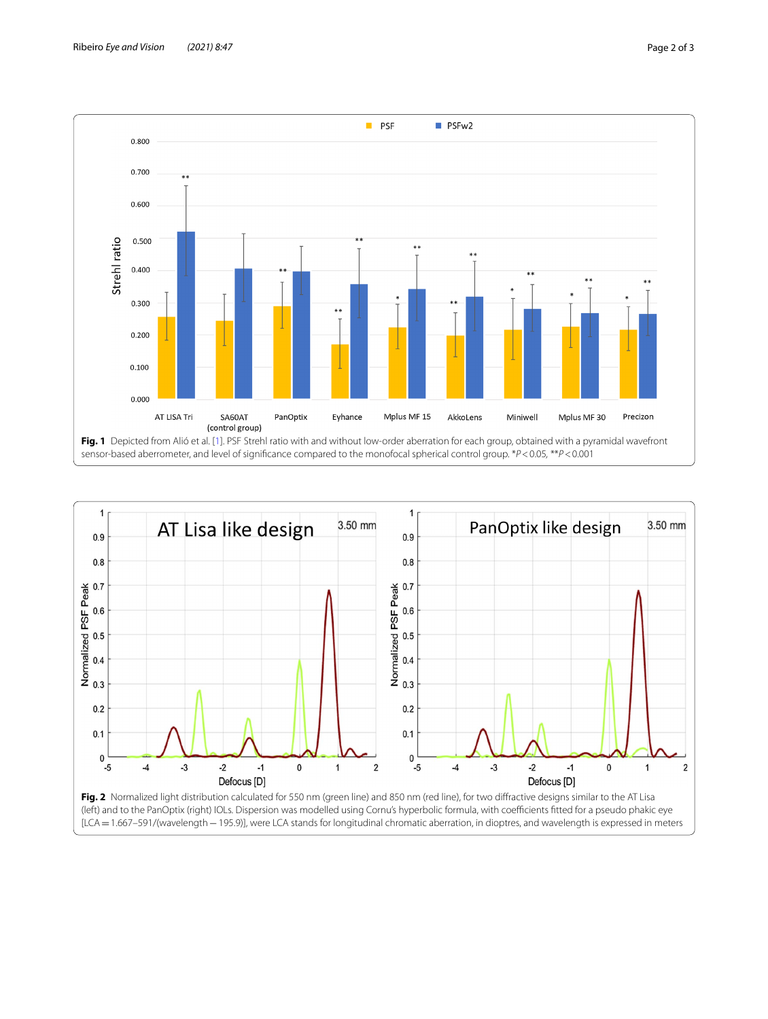

<span id="page-1-1"></span><span id="page-1-0"></span>